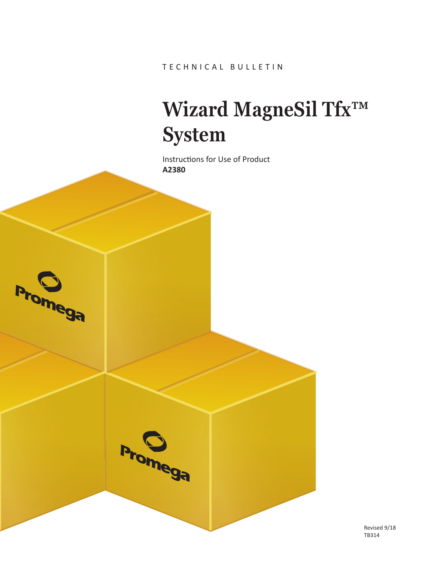# **Wizard MagneSil Tfx™ System**

Instructions for Use of Product **A2380**

**Promega** 



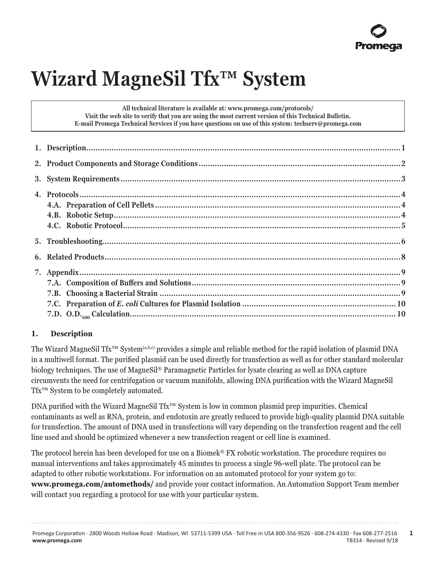# **Wizard MagneSil Tfx™ System**

**All technical literature is available at: www.promega.com/protocols/ Visit the web site to verify that you are using the most current version of this Technical Bulletin. E-mail Promega Technical Services if you have questions on use of this system: techserv@promega.com**

# **1. Description**

The Wizard MagneSil Tfx™ System(a,b,c) provides a simple and reliable method for the rapid isolation of plasmid DNA in a multiwell format. The purified plasmid can be used directly for transfection as well as for other standard molecular biology techniques. The use of MagneSil® Paramagnetic Particles for lysate clearing as well as DNA capture circumvents the need for centrifugation or vacuum manifolds, allowing DNA purification with the Wizard MagneSil Tfx™ System to be completely automated.

DNA purified with the Wizard MagneSil Tfx™ System is low in common plasmid prep impurities. Chemical contaminants as well as RNA, protein, and endotoxin are greatly reduced to provide high-quality plasmid DNA suitable for transfection. The amount of DNA used in transfections will vary depending on the transfection reagent and the cell line used and should be optimized whenever a new transfection reagent or cell line is examined.

The protocol herein has been developed for use on a Biomek® FX robotic workstation. The procedure requires no manual interventions and takes approximately 45 minutes to process a single 96-well plate. The protocol can be adapted to other robotic workstations. For information on an automated protocol for your system go to: **[www.promega.com/automethods/](http://www.promega.com/automethods/)** and provide your contact information. An Automation Support Team member will contact you regarding a protocol for use with your particular system.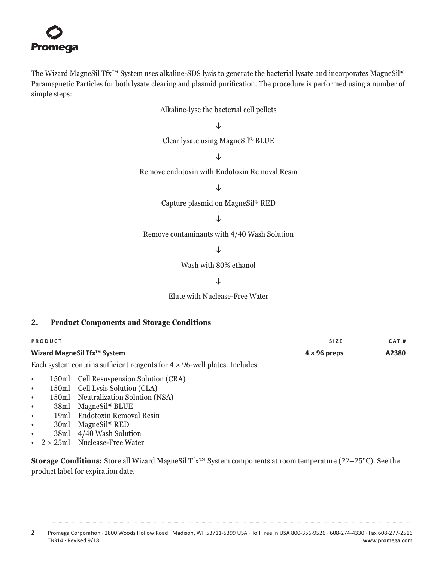<span id="page-2-0"></span>The Wizard MagneSil Tfx™ System uses alkaline-SDS lysis to generate the bacterial lysate and incorporates MagneSil® Paramagnetic Particles for both lysate clearing and plasmid purification. The procedure is performed using a number of simple steps:

Alkaline-lyse the bacterial cell pellets

↓

Clear lysate using MagneSil® BLUE

↓

Remove endotoxin with Endotoxin Removal Resin

↓

Capture plasmid on MagneSil® RED

↓

Remove contaminants with 4/40 Wash Solution

↓

Wash with 80% ethanol

↓

Elute with Nuclease-Free Water

#### **2. Product Components and Storage Conditions**

| PRODUCT                     | <b>SIZE</b>         | CAT.# |
|-----------------------------|---------------------|-------|
| Wizard MagneSil Tfx™ System | $4 \times 96$ preps | A2380 |

Each system contains sufficient reagents for  $4 \times 96$ -well plates. Includes:

- 150ml Cell Resuspension Solution (CRA)
- 150ml Cell Lysis Solution (CLA)
- 150ml Neutralization Solution (NSA)
- 38ml MagneSil® BLUE
- 19ml Endotoxin Removal Resin
- 30ml MagneSil® RED
- 38ml 4/40 Wash Solution
- $2 \times 25$ ml Nuclease-Free Water

**Storage Conditions:** Store all Wizard MagneSil Tfx™ System components at room temperature (22–25°C). See the product label for expiration date.

**2** Promega Corporation · 2800 Woods Hollow Road · Madison, WI 53711-5399 USA · Toll Free in USA 800-356-9526 · 608-274-4330 · Fax 608-277-2516 www.promega.com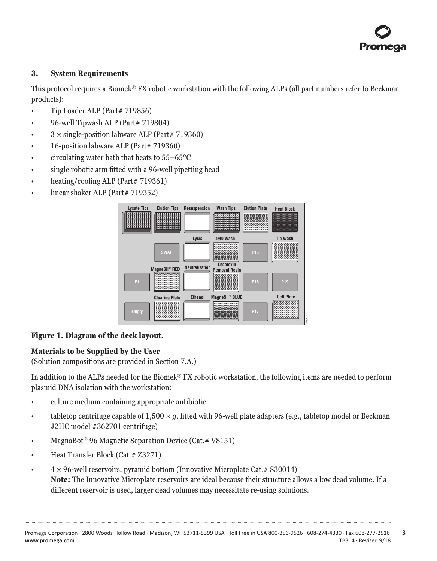# <span id="page-3-0"></span>**3. System Requirements**

This protocol requires a Biomek® FX robotic workstation with the following ALPs (all part numbers refer to Beckman products):

- Tip Loader ALP (Part# 719856)
- 96-well Tipwash ALP (Part# 719804)
- $3 \times$  single-position labware ALP (Part# 719360)
- 16-position labware ALP (Part# 719360)
- circulating water bath that heats to  $55-65^{\circ}$ C
- single robotic arm fitted with a 96-well pipetting head
- heating/cooling ALP (Part# 719361)
- linear shaker ALP (Part# 719352)



## **Figure 1. Diagram of the deck layout.**

## **Materials to be Supplied by the User**

(Solution compositions are provided in Section 7.A.)

In addition to the ALPs needed for the Biomek® FX robotic workstation, the following items are needed to perform plasmid DNA isolation with the workstation:

- culture medium containing appropriate antibiotic
- tabletop centrifuge capable of  $1,500 \times q$ , fitted with 96-well plate adapters (e.g., tabletop model or Beckman J2HC model #362701 centrifuge)
- MagnaBot® 96 Magnetic Separation Device (Cat.# V8151)
- Heat Transfer Block (Cat.# Z3271)
- $4 \times 96$ -well reservoirs, pyramid bottom (Innovative Microplate Cat. # S30014) **Note:** The Innovative Microplate reservoirs are ideal because their structure allows a low dead volume. If a different reservoir is used, larger dead volumes may necessitate re-using solutions.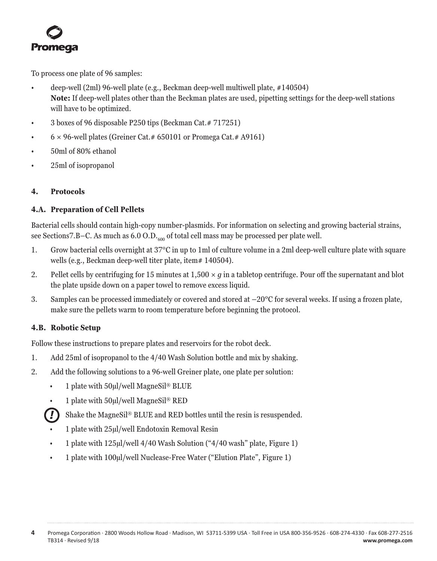<span id="page-4-0"></span>

To process one plate of 96 samples:

- deep-well (2ml) 96-well plate (e.g., Beckman deep-well multiwell plate, #140504) **Note:** If deep-well plates other than the Beckman plates are used, pipetting settings for the deep-well stations will have to be optimized.
- 3 boxes of 96 disposable P250 tips (Beckman Cat. # 717251)
- $6 \times 96$ -well plates (Greiner Cat. # 650101 or Promega Cat. # A9161)
- 50ml of 80% ethanol
- 25ml of isopropanol

#### **4. Protocols**

#### **4.A. Preparation of Cell Pellets**

Bacterial cells should contain high-copy number-plasmids. For information on selecting and growing bacterial strains, see Sections7.B–C. As much as  $6.0 \text{ O.D.}$ <sub>600</sub> of total cell mass may be processed per plate well.

- 1. Grow bacterial cells overnight at 37°C in up to 1ml of culture volume in a 2ml deep-well culture plate with square wells (e.g., Beckman deep-well titer plate, item# 140504).
- 2. Pellet cells by centrifuging for 15 minutes at 1,500 × *g* in a tabletop centrifuge. Pour off the supernatant and blot the plate upside down on a paper towel to remove excess liquid.
- 3. Samples can be processed immediately or covered and stored at –20°C for several weeks. If using a frozen plate, make sure the pellets warm to room temperature before beginning the protocol.

## **4.B. Robotic Setup**

Follow these instructions to prepare plates and reservoirs for the robot deck.

- 1. Add 25ml of isopropanol to the 4/40 Wash Solution bottle and mix by shaking.
- 2. Add the following solutions to a 96-well Greiner plate, one plate per solution:
	- 1 plate with 50µl/well MagneSil® BLUE
	- 1 plate with 50µl/well MagneSil® RED
	- Shake the MagneSil® BLUE and RED bottles until the resin is resuspended. *!*
	- 1 plate with 25µl/well Endotoxin Removal Resin
	- 1 plate with 125µl/well 4/40 Wash Solution ("4/40 wash" plate, Figure 1)
	- 1 plate with 100µl/well Nuclease-Free Water ("Elution Plate", Figure 1)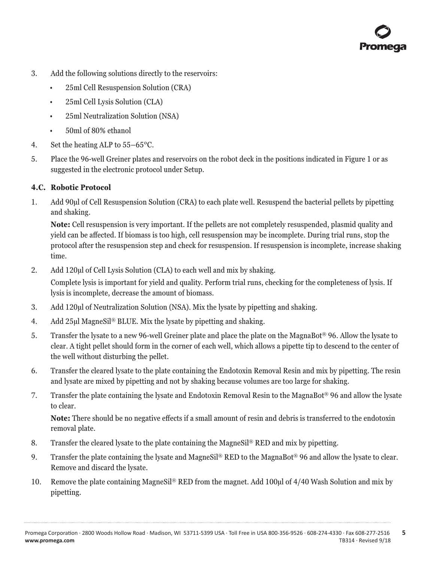

- <span id="page-5-0"></span>3. Add the following solutions directly to the reservoirs:
	- 25ml Cell Resuspension Solution (CRA)
	- 25ml Cell Lysis Solution (CLA)
	- 25ml Neutralization Solution (NSA)
	- 50ml of 80% ethanol
- 4. Set the heating ALP to 55–65°C.
- 5. Place the 96-well Greiner plates and reservoirs on the robot deck in the positions indicated in Figure 1 or as suggested in the electronic protocol under Setup.

#### **4.C. Robotic Protocol**

1. Add 90µl of Cell Resuspension Solution (CRA) to each plate well. Resuspend the bacterial pellets by pipetting and shaking.

**Note:** Cell resuspension is very important. If the pellets are not completely resuspended, plasmid quality and yield can be affected. If biomass is too high, cell resuspension may be incomplete. During trial runs, stop the protocol after the resuspension step and check for resuspension. If resuspension is incomplete, increase shaking time.

2. Add 120µl of Cell Lysis Solution (CLA) to each well and mix by shaking.

Complete lysis is important for yield and quality. Perform trial runs, checking for the completeness of lysis. If lysis is incomplete, decrease the amount of biomass.

- 3. Add 120µl of Neutralization Solution (NSA). Mix the lysate by pipetting and shaking.
- 4. Add 25µl MagneSil® BLUE. Mix the lysate by pipetting and shaking.
- 5. Transfer the lysate to a new 96-well Greiner plate and place the plate on the MagnaBot® 96. Allow the lysate to clear. A tight pellet should form in the corner of each well, which allows a pipette tip to descend to the center of the well without disturbing the pellet.
- 6. Transfer the cleared lysate to the plate containing the Endotoxin Removal Resin and mix by pipetting. The resin and lysate are mixed by pipetting and not by shaking because volumes are too large for shaking.
- 7. Transfer the plate containing the lysate and Endotoxin Removal Resin to the MagnaBot® 96 and allow the lysate to clear.

**Note:** There should be no negative effects if a small amount of resin and debris is transferred to the endotoxin removal plate.

- 8. Transfer the cleared lysate to the plate containing the MagneSil® RED and mix by pipetting.
- 9. Transfer the plate containing the lysate and MagneSil® RED to the MagnaBot® 96 and allow the lysate to clear. Remove and discard the lysate.
- 10. Remove the plate containing MagneSil® RED from the magnet. Add 100µl of 4/40 Wash Solution and mix by pipetting.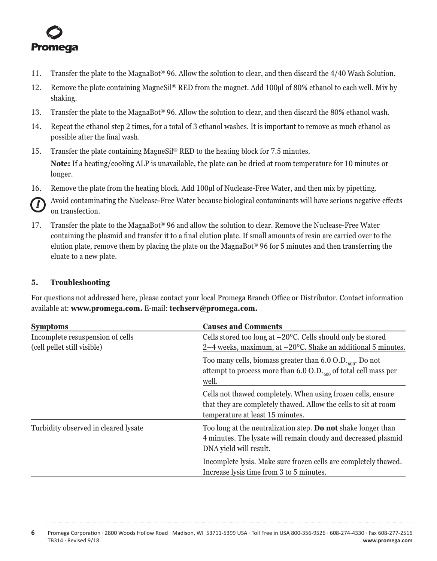<span id="page-6-0"></span>

- 11. Transfer the plate to the MagnaBot® 96. Allow the solution to clear, and then discard the 4/40 Wash Solution.
- 12. Remove the plate containing MagneSil® RED from the magnet. Add 100µl of 80% ethanol to each well. Mix by shaking.
- 13. Transfer the plate to the MagnaBot® 96. Allow the solution to clear, and then discard the 80% ethanol wash.
- 14. Repeat the ethanol step 2 times, for a total of 3 ethanol washes. It is important to remove as much ethanol as possible after the final wash.
- 15. Transfer the plate containing MagneSil® RED to the heating block for 7.5 minutes. **Note:** If a heating/cooling ALP is unavailable, the plate can be dried at room temperature for 10 minutes or longer.
- 16. Remove the plate from the heating block. Add 100µl of Nuclease-Free Water, and then mix by pipetting.

Avoid contaminating the Nuclease-Free Water because biological contaminants will have serious negative effects on transfection. *!*

17. Transfer the plate to the MagnaBot® 96 and allow the solution to clear. Remove the Nuclease-Free Water containing the plasmid and transfer it to a final elution plate. If small amounts of resin are carried over to the elution plate, remove them by placing the plate on the MagnaBot® 96 for 5 minutes and then transferring the eluate to a new plate.

## **5. Troubleshooting**

For questions not addressed here, please contact your local Promega Branch Office or Distributor. Contact information available at: **[www.promega.com.](http://www.promega.com)** E-mail: **[techserv@promega.com](mailto:techserv%40promega.com?subject=Wizard%20MagneSil%20Tfx%20troubleshooting).**

| <b>Symptoms</b>                      | <b>Causes and Comments</b>                                                                                                                                          |  |  |
|--------------------------------------|---------------------------------------------------------------------------------------------------------------------------------------------------------------------|--|--|
| Incomplete resuspension of cells     | Cells stored too long at $-20^{\circ}$ C. Cells should only be stored                                                                                               |  |  |
| (cell pellet still visible)          | 2-4 weeks, maximum, at -20°C. Shake an additional 5 minutes.                                                                                                        |  |  |
|                                      | Too many cells, biomass greater than 6.0 O.D. $_{600}$ . Do not<br>attempt to process more than $6.0 \text{ O.D.}$ <sub>600</sub> of total cell mass per<br>well.   |  |  |
|                                      | Cells not thawed completely. When using frozen cells, ensure<br>that they are completely thawed. Allow the cells to sit at room<br>temperature at least 15 minutes. |  |  |
| Turbidity observed in cleared lysate | Too long at the neutralization step. <b>Do not</b> shake longer than<br>4 minutes. The lysate will remain cloudy and decreased plasmid<br>DNA yield will result.    |  |  |
|                                      | Incomplete lysis. Make sure frozen cells are completely thawed.<br>Increase lysis time from 3 to 5 minutes.                                                         |  |  |

**6** Promega Corporation · 2800 Woods Hollow Road · Madison, WI 53711-5399 USA · Toll Free in USA 800-356-9526 · 608-274-4330 · Fax 608-277-2516 TB314 · Revised 9/18 **www.promega.com**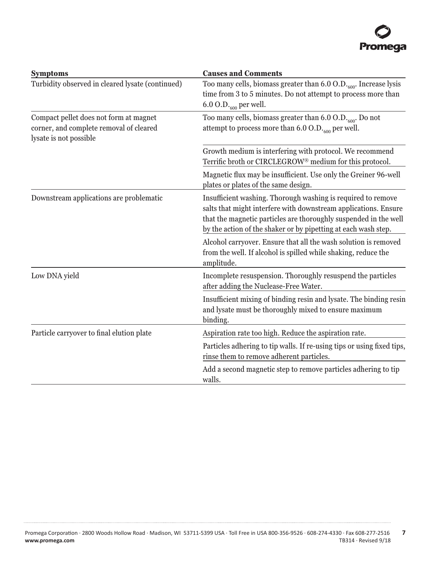

| <b>Symptoms</b>                                                                                             | <b>Causes and Comments</b>                                                                                                                                                                                                                                            |  |  |
|-------------------------------------------------------------------------------------------------------------|-----------------------------------------------------------------------------------------------------------------------------------------------------------------------------------------------------------------------------------------------------------------------|--|--|
| Turbidity observed in cleared lysate (continued)                                                            | Too many cells, biomass greater than 6.0 O.D. <sub>600</sub> . Increase lysis<br>time from 3 to 5 minutes. Do not attempt to process more than<br>6.0 O.D. $_{600}$ per well.                                                                                         |  |  |
| Compact pellet does not form at magnet<br>corner, and complete removal of cleared<br>lysate is not possible | Too many cells, biomass greater than $6.0 \text{ O.D.}$ <sub>600</sub> . Do not<br>attempt to process more than $6.0 \text{ O.D.}_{600}$ per well.                                                                                                                    |  |  |
|                                                                                                             | Growth medium is interfering with protocol. We recommend<br>Terrific broth or CIRCLEGROW <sup>®</sup> medium for this protocol.                                                                                                                                       |  |  |
|                                                                                                             | Magnetic flux may be insufficient. Use only the Greiner 96-well<br>plates or plates of the same design.                                                                                                                                                               |  |  |
| Downstream applications are problematic                                                                     | Insufficient washing. Thorough washing is required to remove<br>salts that might interfere with downstream applications. Ensure<br>that the magnetic particles are thoroughly suspended in the well<br>by the action of the shaker or by pipetting at each wash step. |  |  |
|                                                                                                             | Alcohol carryover. Ensure that all the wash solution is removed<br>from the well. If alcohol is spilled while shaking, reduce the<br>amplitude.                                                                                                                       |  |  |
| Low DNA yield                                                                                               | Incomplete resuspension. Thoroughly resuspend the particles<br>after adding the Nuclease-Free Water.                                                                                                                                                                  |  |  |
|                                                                                                             | Insufficient mixing of binding resin and lysate. The binding resin<br>and lysate must be thoroughly mixed to ensure maximum<br>binding.                                                                                                                               |  |  |
| Particle carryover to final elution plate                                                                   | Aspiration rate too high. Reduce the aspiration rate.                                                                                                                                                                                                                 |  |  |
|                                                                                                             | Particles adhering to tip walls. If re-using tips or using fixed tips,<br>rinse them to remove adherent particles.                                                                                                                                                    |  |  |
|                                                                                                             | Add a second magnetic step to remove particles adhering to tip<br>walls.                                                                                                                                                                                              |  |  |

. . . . . . . . . . . . .

. . . . . . . . . . .

. . . . . . . . . .

. . . . . . . . . .

. . . . . . . . . . . .

. . . . . . . . . . . . .

. . . . . . . . . . . .

. . . . . .

. . . . . . . . . .

. . . . . . . .

. . . . . . . . . . .

. . . . . . . . . . . .

. . . . . . . . . . . .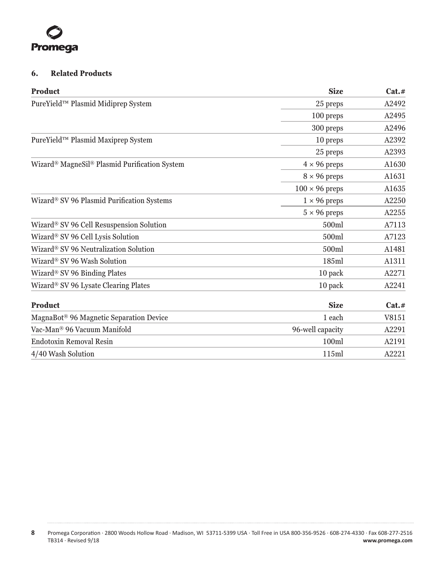<span id="page-8-0"></span>

# **6. Related Products**

| <b>Product</b>                                    | <b>Size</b>           | Cat.# |
|---------------------------------------------------|-----------------------|-------|
| PureYield™ Plasmid Midiprep System                | 25 preps              | A2492 |
|                                                   | 100 preps             | A2495 |
|                                                   | 300 preps             | A2496 |
| PureYield™ Plasmid Maxiprep System                | 10 preps              | A2392 |
|                                                   | 25 preps              | A2393 |
| Wizard® MagneSil® Plasmid Purification System     | $4 \times 96$ preps   | A1630 |
|                                                   | $8 \times 96$ preps   | A1631 |
|                                                   | $100 \times 96$ preps | A1635 |
| Wizard® SV 96 Plasmid Purification Systems        | $1 \times 96$ preps   | A2250 |
|                                                   | $5 \times 96$ preps   | A2255 |
| Wizard® SV 96 Cell Resuspension Solution          | 500ml                 | A7113 |
| Wizard® SV 96 Cell Lysis Solution                 | 500ml                 | A7123 |
| Wizard <sup>®</sup> SV 96 Neutralization Solution | 500ml                 | A1481 |
| Wizard® SV 96 Wash Solution                       | 185ml                 | A1311 |
| Wizard® SV 96 Binding Plates                      | 10 pack               | A2271 |
| Wizard® SV 96 Lysate Clearing Plates              | 10 pack               | A2241 |
| <b>Product</b>                                    | <b>Size</b>           | Cat.# |
| MagnaBot® 96 Magnetic Separation Device           | 1 each                | V8151 |
| Vac-Man® 96 Vacuum Manifold                       | 96-well capacity      | A2291 |
| <b>Endotoxin Removal Resin</b>                    | 100ml                 | A2191 |
| 4/40 Wash Solution                                | 115ml                 | A2221 |
|                                                   |                       |       |

. . . . . . . .

لتتبت

. . . . . . . . .

. . . . . . . . .

. . . . . . . .

. . . . . . .

. . . . . . .

. . . . . . . .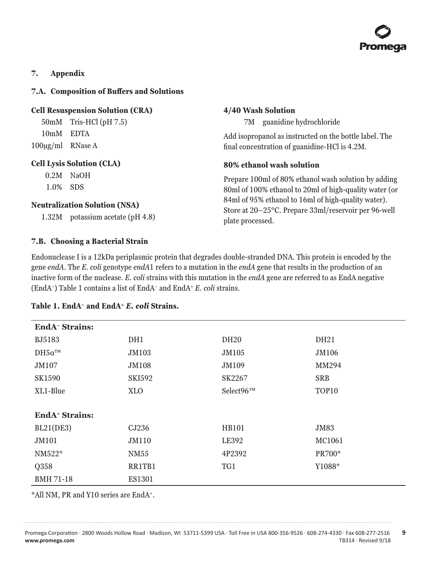

## <span id="page-9-0"></span>**7. Appendix**

#### **7.A. Composition of Buffers and Solutions**

#### **Cell Resuspension Solution (CRA)**

50mM Tris-HCl (pH 7.5) 10mM EDTA 100µg/ml RNase A

#### **Cell Lysis Solution (CLA)**

0.2M NaOH 1.0% SDS

#### **Neutralization Solution (NSA)**

1.32M potassium acetate (pH 4.8)

#### **7.B. Choosing a Bacterial Strain**

Endonuclease I is a 12kDa periplasmic protein that degrades double-stranded DNA. This protein is encoded by the gene *endA*. The *E. coli* genotype *endA*1 refers to a mutation in the *endA* gene that results in the production of an inactive form of the nuclease. *E. coli* strains with this mutation in the *endA* gene are referred to as EndA negative (EndA–) Table 1 contains a list of EndA– and EndA+ *E. coli* strains.

**4/40 Wash Solution**

plate processed.

**80% ethanol wash solution**

7M guanidine hydrochloride

Add isopropanol as instructed on the bottle label. The final concentration of guanidine-HCl is 4.2M.

Prepare 100ml of 80% ethanol wash solution by adding 80ml of 100% ethanol to 20ml of high-quality water (or 84ml of 95% ethanol to 16ml of high-quality water). Store at 20–25°C. Prepare 33ml/reservoir per 96-well

| <b>EndA</b> <sup>-</sup> Strains: |               |                  |                   |  |  |
|-----------------------------------|---------------|------------------|-------------------|--|--|
| <b>BJ5183</b>                     | DH1           | DH <sub>20</sub> | DH <sub>21</sub>  |  |  |
| $DH5\alpha^{TM}$                  | JM103         | JM105            | JM106             |  |  |
| JM107                             | <b>JM108</b>  | JM109            | MM294             |  |  |
| <b>SK1590</b>                     | <b>SKI592</b> | SK2267           | <b>SRB</b>        |  |  |
| XL1-Blue                          | <b>XLO</b>    | Select96™        | TOP <sub>10</sub> |  |  |
|                                   |               |                  |                   |  |  |
| EndA <sup>+</sup> Strains:        |               |                  |                   |  |  |
| BL21(DE3)                         | CJ236         | <b>HB101</b>     | JM83              |  |  |
| JM101                             | JM110         | LE392            | MC1061            |  |  |
| $NM522*$                          | NM55          | 4P2392           | PR700*            |  |  |
| Q358                              | RR1TB1        | TG1              | Y1088*            |  |  |
| <b>BMH 71-18</b>                  | <b>ES1301</b> |                  |                   |  |  |

## **Table 1. EndA– and EndA+** *E. coli* **Strains.**

\*All NM, PR and Y10 series are EndA+.